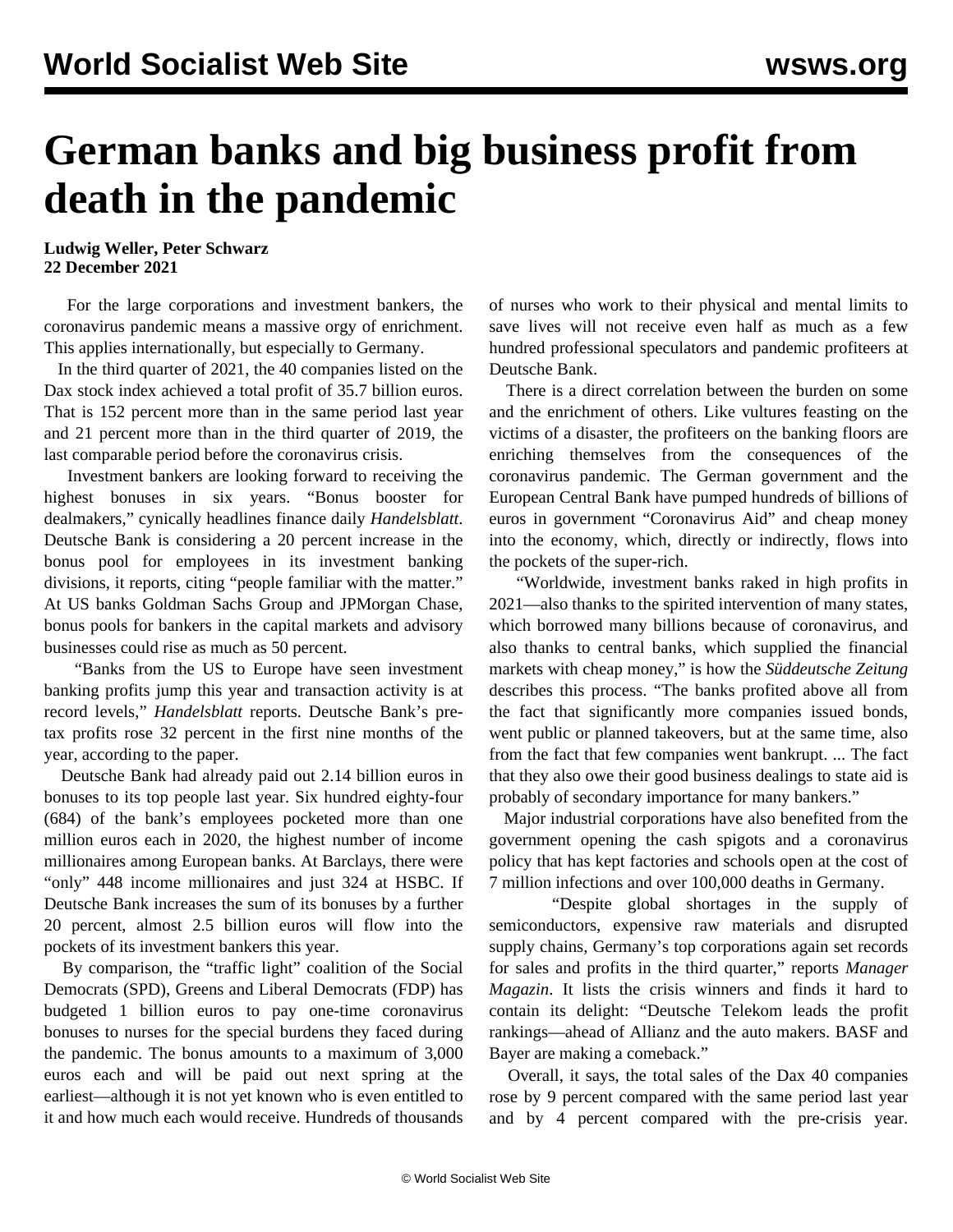## **German banks and big business profit from death in the pandemic**

## **Ludwig Weller, Peter Schwarz 22 December 2021**

 For the large corporations and investment bankers, the coronavirus pandemic means a massive orgy of enrichment. This applies internationally, but especially to Germany.

 In the third quarter of 2021, the 40 companies listed on the Dax stock index achieved a total profit of 35.7 billion euros. That is 152 percent more than in the same period last year and 21 percent more than in the third quarter of 2019, the last comparable period before the coronavirus crisis.

 Investment bankers are looking forward to receiving the highest bonuses in six years. "Bonus booster for dealmakers," cynically headlines finance daily *Handelsblatt*. Deutsche Bank is considering a 20 percent increase in the bonus pool for employees in its investment banking divisions, it reports, citing "people familiar with the matter." At US banks Goldman Sachs Group and JPMorgan Chase, bonus pools for bankers in the capital markets and advisory businesses could rise as much as 50 percent.

 "Banks from the US to Europe have seen investment banking profits jump this year and transaction activity is at record levels," *Handelsblatt* reports. Deutsche Bank's pretax profits rose 32 percent in the first nine months of the year, according to the paper.

 Deutsche Bank had already paid out 2.14 billion euros in bonuses to its top people last year. Six hundred eighty-four (684) of the bank's employees pocketed more than one million euros each in 2020, the highest number of income millionaires among European banks. At Barclays, there were "only" 448 income millionaires and just 324 at HSBC. If Deutsche Bank increases the sum of its bonuses by a further 20 percent, almost 2.5 billion euros will flow into the pockets of its investment bankers this year.

 By comparison, the "traffic light" coalition of the Social Democrats (SPD), Greens and Liberal Democrats (FDP) has budgeted 1 billion euros to pay one-time coronavirus bonuses to nurses for the special burdens they faced during the pandemic. The bonus amounts to a maximum of 3,000 euros each and will be paid out next spring at the earliest—although it is not yet known who is even entitled to it and how much each would receive. Hundreds of thousands of nurses who work to their physical and mental limits to save lives will not receive even half as much as a few hundred professional speculators and pandemic profiteers at Deutsche Bank.

 There is a direct correlation between the burden on some and the enrichment of others. Like vultures feasting on the victims of a disaster, the profiteers on the banking floors are enriching themselves from the consequences of the coronavirus pandemic. The German government and the European Central Bank have pumped hundreds of billions of euros in government "Coronavirus Aid" and cheap money into the economy, which, directly or indirectly, flows into the pockets of the super-rich.

 "Worldwide, investment banks raked in high profits in 2021—also thanks to the spirited intervention of many states, which borrowed many billions because of coronavirus, and also thanks to central banks, which supplied the financial markets with cheap money," is how the *Süddeutsche Zeitung* describes this process. "The banks profited above all from the fact that significantly more companies issued bonds, went public or planned takeovers, but at the same time, also from the fact that few companies went bankrupt. ... The fact that they also owe their good business dealings to state aid is probably of secondary importance for many bankers."

 Major industrial corporations have also benefited from the government opening the cash spigots and a coronavirus policy that has kept factories and schools open at the cost of 7 million infections and over 100,000 deaths in Germany.

 "Despite global shortages in the supply of semiconductors, expensive raw materials and disrupted supply chains, Germany's top corporations again set records for sales and profits in the third quarter," reports *Manager Magazin*. It lists the crisis winners and finds it hard to contain its delight: "Deutsche Telekom leads the profit rankings—ahead of Allianz and the auto makers. BASF and Bayer are making a comeback."

 Overall, it says, the total sales of the Dax 40 companies rose by 9 percent compared with the same period last year and by 4 percent compared with the pre-crisis year.